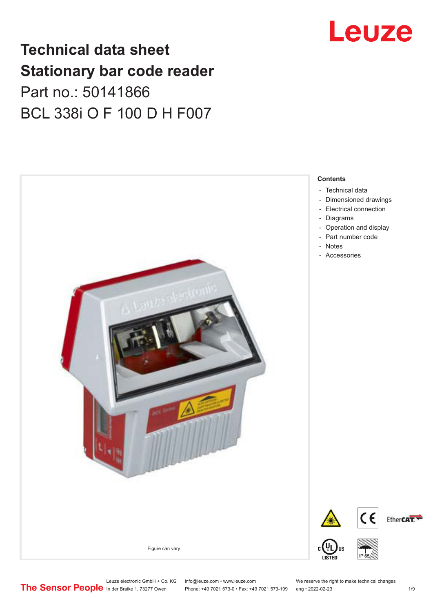## **Technical data sheet Stationary bar code reader** Part no.: 50141866 BCL 338i O F 100 D H F007



Leuze

Leuze electronic GmbH + Co. KG info@leuze.com • www.leuze.com We reserve the right to make technical changes<br>
The Sensor People in der Braike 1, 73277 Owen Phone: +49 7021 573-0 • Fax: +49 7021 573-199 eng • 2022-02-23

Phone: +49 7021 573-0 • Fax: +49 7021 573-199 eng • 2022-02-23 1 /9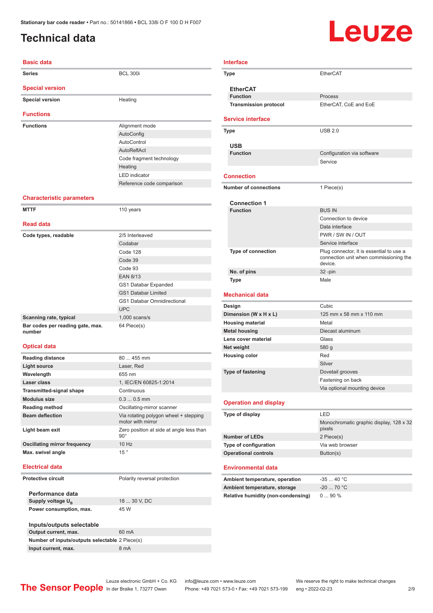### <span id="page-1-0"></span>**Technical data**

## Leuze

| <b>Series</b>                              | <b>BCL 300i</b>                                            |
|--------------------------------------------|------------------------------------------------------------|
|                                            |                                                            |
| <b>Special version</b>                     |                                                            |
| <b>Special version</b>                     | Heating                                                    |
| <b>Functions</b>                           |                                                            |
| <b>Functions</b>                           | Alignment mode                                             |
|                                            | AutoConfig                                                 |
|                                            | AutoControl                                                |
|                                            | AutoReflAct                                                |
|                                            | Code fragment technology                                   |
|                                            | Heating                                                    |
|                                            | <b>LED</b> indicator                                       |
|                                            | Reference code comparison                                  |
| <b>Characteristic parameters</b>           |                                                            |
| <b>MTTF</b>                                | 110 years                                                  |
| <b>Read data</b>                           |                                                            |
| Code types, readable                       | 2/5 Interleaved                                            |
|                                            | Codabar                                                    |
|                                            | Code 128                                                   |
|                                            | Code 39                                                    |
|                                            | Code 93                                                    |
|                                            | <b>EAN 8/13</b>                                            |
|                                            | GS1 Databar Expanded                                       |
|                                            | <b>GS1 Databar Limited</b>                                 |
|                                            | <b>GS1 Databar Omnidirectional</b>                         |
|                                            | <b>UPC</b>                                                 |
| Scanning rate, typical                     | $1,000$ scans/s                                            |
| Bar codes per reading gate, max.<br>number | 64 Piece(s)                                                |
|                                            |                                                            |
| <b>Optical data</b>                        |                                                            |
| <b>Reading distance</b>                    | 80  455 mm                                                 |
| <b>Light source</b>                        | Laser, Red                                                 |
| Wavelength                                 | 655 nm                                                     |
| Laser class                                | 1, IEC/EN 60825-1:2014                                     |
| <b>Transmitted-signal shape</b>            | Continuous                                                 |
| <b>Modulus size</b>                        | $0.30.5$ mm                                                |
| Reading method                             | Oscillating-mirror scanner                                 |
| <b>Beam deflection</b>                     | Via rotating polygon wheel + stepping<br>motor with mirror |
| Light beam exit                            | Zero position at side at angle less than<br>$90^{\circ}$   |
| <b>Oscillating mirror frequency</b>        | 10 Hz                                                      |
| Max. swivel angle                          | 15°                                                        |
|                                            |                                                            |

| <b>Interface</b>                          |                                                                                              |  |  |  |
|-------------------------------------------|----------------------------------------------------------------------------------------------|--|--|--|
| <b>Type</b>                               | <b>EtherCAT</b>                                                                              |  |  |  |
| <b>EtherCAT</b>                           |                                                                                              |  |  |  |
| <b>Function</b>                           | Process                                                                                      |  |  |  |
| <b>Transmission protocol</b>              | EtherCAT, CoE and EoE                                                                        |  |  |  |
| <b>Service interface</b>                  |                                                                                              |  |  |  |
| Type                                      | <b>USB 2.0</b>                                                                               |  |  |  |
| USB                                       |                                                                                              |  |  |  |
| <b>Function</b>                           | Configuration via software<br>Service                                                        |  |  |  |
| <b>Connection</b>                         |                                                                                              |  |  |  |
| <b>Number of connections</b>              | 1 Piece(s)                                                                                   |  |  |  |
| <b>Connection 1</b>                       |                                                                                              |  |  |  |
| <b>Function</b>                           | <b>BUS IN</b>                                                                                |  |  |  |
|                                           | Connection to device                                                                         |  |  |  |
|                                           | Data interface                                                                               |  |  |  |
|                                           | PWR / SW IN / OUT                                                                            |  |  |  |
|                                           | Service interface                                                                            |  |  |  |
| <b>Type of connection</b>                 | Plug connector, It is essential to use a<br>connection unit when commissioning the<br>device |  |  |  |
| No. of pins                               | $32 - pin$                                                                                   |  |  |  |
| Type                                      | Male                                                                                         |  |  |  |
| <b>Mechanical data</b>                    |                                                                                              |  |  |  |
| Design                                    | Cubic                                                                                        |  |  |  |
| Dimension (W x H x L)                     | 125 mm x 58 mm x 110 mm                                                                      |  |  |  |
| <b>Housing material</b>                   | Metal                                                                                        |  |  |  |
| <b>Metal housing</b>                      | Diecast aluminum                                                                             |  |  |  |
| Lens cover material                       | Glass                                                                                        |  |  |  |
| Net weight                                | 580 g                                                                                        |  |  |  |
| <b>Housing color</b>                      | Red                                                                                          |  |  |  |
|                                           | Silver                                                                                       |  |  |  |
| Type of fastening                         | Dovetail grooves                                                                             |  |  |  |
|                                           | Fastening on back                                                                            |  |  |  |
|                                           | Via optional mounting device                                                                 |  |  |  |
| <b>Operation and display</b>              |                                                                                              |  |  |  |
| Type of display                           | LED                                                                                          |  |  |  |
|                                           | Monochromatic graphic display, 128 x 32<br>pixels                                            |  |  |  |
| <b>Number of LEDs</b>                     | 2 Piece(s)                                                                                   |  |  |  |
| Type of configuration                     | Via web browser                                                                              |  |  |  |
| <b>Operational controls</b>               | Button(s)                                                                                    |  |  |  |
| <b>Environmental data</b>                 |                                                                                              |  |  |  |
| Ambient temperature, operation            | $-3540 °C$                                                                                   |  |  |  |
| Ambient temperature, storage              | $-20$ 70 °C                                                                                  |  |  |  |
| <b>Relative humidity (non-condensing)</b> | 090%                                                                                         |  |  |  |
|                                           |                                                                                              |  |  |  |
|                                           |                                                                                              |  |  |  |
|                                           |                                                                                              |  |  |  |
|                                           |                                                                                              |  |  |  |
|                                           |                                                                                              |  |  |  |

#### **Protective circuit** Polarity reversal protection

| Performance data              |              |
|-------------------------------|--------------|
| Supply voltage U <sub>p</sub> | 18  30 V, DC |
| Power consumption, max.       | 45 W         |
| Inputs/outputs selectable     |              |

| Output current, max.                           | 60 mA |
|------------------------------------------------|-------|
| Number of inputs/outputs selectable 2 Piece(s) |       |
| Input current, max.                            | 8 mA  |
|                                                |       |
|                                                |       |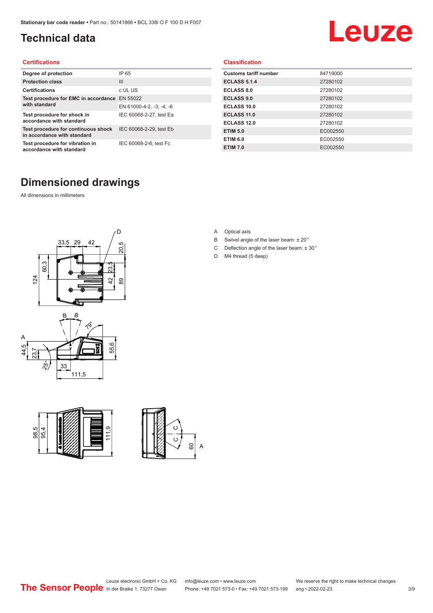### <span id="page-2-0"></span>**Technical data**

# Leuze

#### **Certifications**

| Degree of protection                                               | IP 65                    |
|--------------------------------------------------------------------|--------------------------|
| <b>Protection class</b>                                            | Ш                        |
| <b>Certifications</b>                                              | c UL US                  |
| Test procedure for EMC in accordance EN 55022                      |                          |
| with standard                                                      | EN 61000-4-2, -3, -4, -6 |
| Test procedure for shock in<br>accordance with standard            | IEC 60068-2-27, test Ea  |
| Test procedure for continuous shock<br>in accordance with standard | IEC 60068-2-29, test Eb  |
| Test procedure for vibration in<br>accordance with standard        | IEC 60068-2-6, test Fc   |

#### **Dimensioned drawings**

All dimensions in millimeters







#### **Classification**

| <b>Customs tariff number</b> | 84719000 |
|------------------------------|----------|
| <b>ECLASS 5.1.4</b>          | 27280102 |
| <b>ECLASS 8.0</b>            | 27280102 |
| <b>ECLASS 9.0</b>            | 27280102 |
| ECLASS 10.0                  | 27280102 |
| <b>ECLASS 11.0</b>           | 27280102 |
| ECLASS 12.0                  | 27280102 |
| <b>ETIM 5.0</b>              | EC002550 |
| <b>ETIM 6.0</b>              | EC002550 |
| <b>ETIM 7.0</b>              | EC002550 |

A Optical axis

- B Swivel angle of the laser beam: ± 20 °
- C Deflection angle of the laser beam:  $\pm$  30 $^{\circ}$
- D M4 thread (5 deep)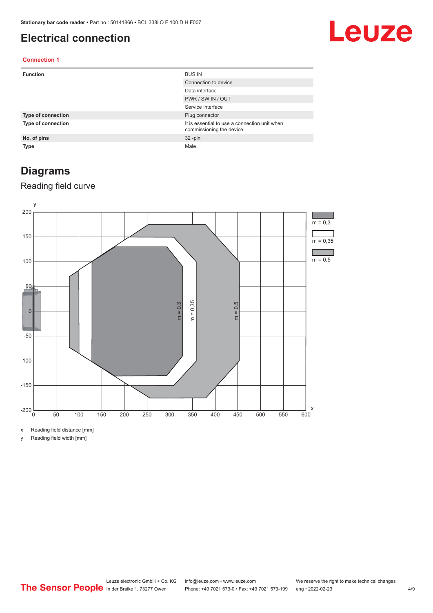#### <span id="page-3-0"></span>**Electrical connection**

## Leuze

#### **Connection 1**

| <b>Function</b>           | <b>BUS IN</b>                                                              |
|---------------------------|----------------------------------------------------------------------------|
|                           | Connection to device                                                       |
|                           | Data interface                                                             |
|                           | PWR / SW IN / OUT                                                          |
|                           | Service interface                                                          |
| <b>Type of connection</b> | Plug connector                                                             |
| <b>Type of connection</b> | It is essential to use a connection unit when<br>commissioning the device. |
| No. of pins               | $32 - pin$                                                                 |
| <b>Type</b>               | Male                                                                       |

#### **Diagrams**

#### Reading field curve



x Reading field distance [mm]

y Reading field width [mm]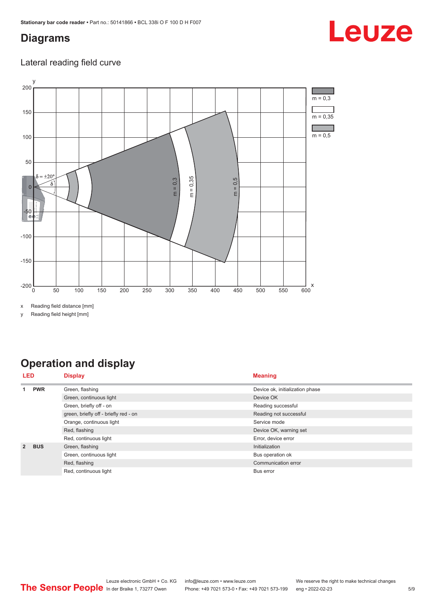#### <span id="page-4-0"></span>**Diagrams**

# Leuze

#### Lateral reading field curve



x Reading field distance [mm]

y Reading field height [mm]

#### **Operation and display**

| LED            |            | <b>Display</b>                        | <b>Meaning</b>                  |  |
|----------------|------------|---------------------------------------|---------------------------------|--|
|                | <b>PWR</b> | Green, flashing                       | Device ok, initialization phase |  |
|                |            | Green, continuous light               | Device OK                       |  |
|                |            | Green, briefly off - on               | Reading successful              |  |
|                |            | green, briefly off - briefly red - on | Reading not successful          |  |
|                |            | Orange, continuous light              | Service mode                    |  |
|                |            | Red, flashing                         | Device OK, warning set          |  |
|                |            | Red, continuous light                 | Error, device error             |  |
| $\overline{2}$ | <b>BUS</b> | Green, flashing                       | Initialization                  |  |
|                |            | Green, continuous light               | Bus operation ok                |  |
|                |            | Red, flashing                         | Communication error             |  |
|                |            | Red, continuous light                 | Bus error                       |  |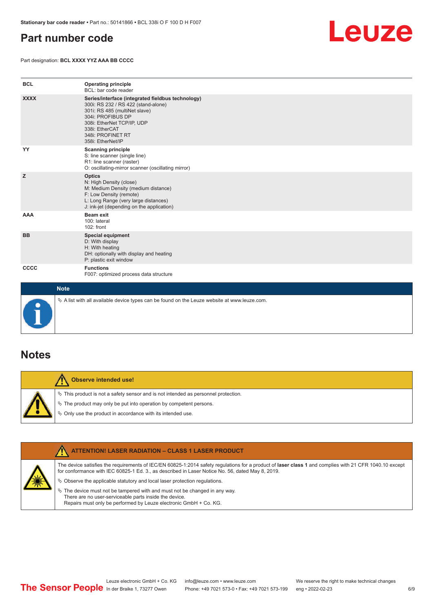#### <span id="page-5-0"></span>**Part number code**

Leuze

Part designation: **BCL XXXX YYZ AAA BB CCCC**

| <b>BCL</b>  | <b>Operating principle</b><br>BCL: bar code reader                                                                                                                                                                                       |
|-------------|------------------------------------------------------------------------------------------------------------------------------------------------------------------------------------------------------------------------------------------|
| <b>XXXX</b> | Series/interface (integrated fieldbus technology)<br>300i: RS 232 / RS 422 (stand-alone)<br>301i: RS 485 (multiNet slave)<br>304i: PROFIBUS DP<br>308i: EtherNet TCP/IP, UDP<br>338i: EtherCAT<br>348i: PROFINET RT<br>358i: EtherNet/IP |
| YY          | <b>Scanning principle</b><br>S: line scanner (single line)<br>R1: line scanner (raster)<br>O: oscillating-mirror scanner (oscillating mirror)                                                                                            |
| z           | <b>Optics</b><br>N: High Density (close)<br>M: Medium Density (medium distance)<br>F: Low Density (remote)<br>L: Long Range (very large distances)<br>J: ink-jet (depending on the application)                                          |
| <b>AAA</b>  | <b>Beam exit</b><br>100: lateral<br>$102:$ front                                                                                                                                                                                         |
| <b>BB</b>   | <b>Special equipment</b><br>D: With display<br>H: With heating<br>DH: optionally with display and heating<br>P: plastic exit window                                                                                                      |
| CCCC        | <b>Functions</b><br>F007: optimized process data structure                                                                                                                                                                               |
| <b>Note</b> |                                                                                                                                                                                                                                          |



 $\%$  A list with all available device types can be found on the Leuze website at www.leuze.com.

#### **Notes**

| Observe intended use!                                                                                                                                                                                                         |
|-------------------------------------------------------------------------------------------------------------------------------------------------------------------------------------------------------------------------------|
| $\%$ This product is not a safety sensor and is not intended as personnel protection.<br>$\&$ The product may only be put into operation by competent persons.<br>♦ Only use the product in accordance with its intended use. |

| <b>ATTENTION! LASER RADIATION - CLASS 1 LASER PRODUCT</b>                                                                                                                                                                                                                                                                                                                                                                                                                                                                                                   |
|-------------------------------------------------------------------------------------------------------------------------------------------------------------------------------------------------------------------------------------------------------------------------------------------------------------------------------------------------------------------------------------------------------------------------------------------------------------------------------------------------------------------------------------------------------------|
| The device satisfies the requirements of IEC/EN 60825-1:2014 safety regulations for a product of laser class 1 and complies with 21 CFR 1040.10 except<br>for conformance with IEC 60825-1 Ed. 3., as described in Laser Notice No. 56, dated May 8, 2019.<br>$\%$ Observe the applicable statutory and local laser protection regulations.<br>$\%$ The device must not be tampered with and must not be changed in any way.<br>There are no user-serviceable parts inside the device.<br>Repairs must only be performed by Leuze electronic GmbH + Co. KG. |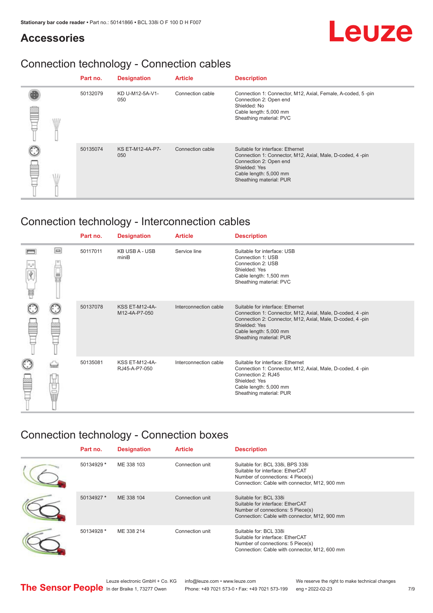## Leuze

#### **Accessories**

### Connection technology - Connection cables

|   | Part no. | <b>Designation</b>             | <b>Article</b>   | <b>Description</b>                                                                                                                                                                            |
|---|----------|--------------------------------|------------------|-----------------------------------------------------------------------------------------------------------------------------------------------------------------------------------------------|
| ₽ | 50132079 | KD U-M12-5A-V1-<br>050         | Connection cable | Connection 1: Connector, M12, Axial, Female, A-coded, 5-pin<br>Connection 2: Open end<br>Shielded: No<br>Cable length: 5,000 mm<br>Sheathing material: PVC                                    |
|   | 50135074 | <b>KS ET-M12-4A-P7-</b><br>050 | Connection cable | Suitable for interface: Ethernet<br>Connection 1: Connector, M12, Axial, Male, D-coded, 4-pin<br>Connection 2: Open end<br>Shielded: Yes<br>Cable length: 5,000 mm<br>Sheathing material: PUR |

### Connection technology - Interconnection cables

|   |            | Part no. | <b>Designation</b>                     | <b>Article</b>        | <b>Description</b>                                                                                                                                                                                                               |
|---|------------|----------|----------------------------------------|-----------------------|----------------------------------------------------------------------------------------------------------------------------------------------------------------------------------------------------------------------------------|
| Ħ | $\Box$     | 50117011 | <b>KB USB A - USB</b><br>miniB         | Service line          | Suitable for interface: USB<br>Connection 1: USB<br>Connection 2: USB<br>Shielded: Yes<br>Cable length: 1,500 mm<br>Sheathing material: PVC                                                                                      |
|   |            | 50137078 | <b>KSS ET-M12-4A-</b><br>M12-4A-P7-050 | Interconnection cable | Suitable for interface: Ethernet<br>Connection 1: Connector, M12, Axial, Male, D-coded, 4-pin<br>Connection 2: Connector, M12, Axial, Male, D-coded, 4-pin<br>Shielded: Yes<br>Cable length: 5,000 mm<br>Sheathing material: PUR |
|   | ti<br>Ultr | 50135081 | <b>KSS ET-M12-4A-</b><br>RJ45-A-P7-050 | Interconnection cable | Suitable for interface: Ethernet<br>Connection 1: Connector, M12, Axial, Male, D-coded, 4-pin<br>Connection 2: RJ45<br>Shielded: Yes<br>Cable length: 5,000 mm<br>Sheathing material: PUR                                        |

### Connection technology - Connection boxes

| Part no.   | <b>Designation</b> | <b>Article</b>  | <b>Description</b>                                                                                                                                         |
|------------|--------------------|-----------------|------------------------------------------------------------------------------------------------------------------------------------------------------------|
| 50134929 * | ME 338 103         | Connection unit | Suitable for: BCL 338i, BPS 338i<br>Suitable for interface: EtherCAT<br>Number of connections: 4 Piece(s)<br>Connection: Cable with connector, M12, 900 mm |
| 50134927 * | ME 338 104         | Connection unit | Suitable for: BCL 338i<br>Suitable for interface: EtherCAT<br>Number of connections: 5 Piece(s)<br>Connection: Cable with connector, M12, 900 mm           |
| 50134928 * | ME 338 214         | Connection unit | Suitable for: BCL 338i<br>Suitable for interface: EtherCAT<br>Number of connections: 5 Piece(s)<br>Connection: Cable with connector, M12, 600 mm           |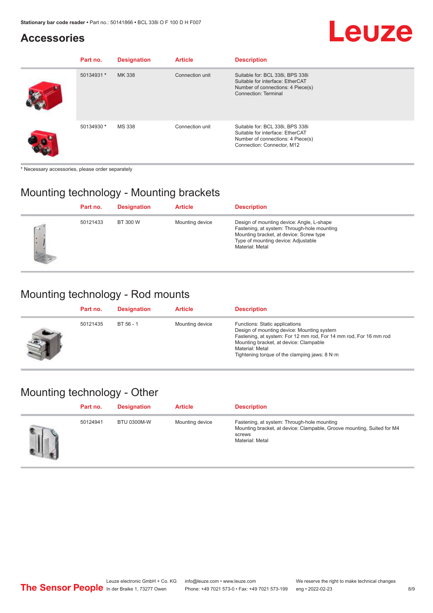#### **Accessories**

| Part no.   | <b>Designation</b> | <b>Article</b>  | <b>Description</b>                                                                                                                      |
|------------|--------------------|-----------------|-----------------------------------------------------------------------------------------------------------------------------------------|
| 50134931 * | MK 338             | Connection unit | Suitable for: BCL 338i, BPS 338i<br>Suitable for interface: EtherCAT<br>Number of connections: 4 Piece(s)<br>Connection: Terminal       |
| 50134930 * | <b>MS 338</b>      | Connection unit | Suitable for: BCL 338i, BPS 338i<br>Suitable for interface: EtherCAT<br>Number of connections: 4 Piece(s)<br>Connection: Connector, M12 |

\* Necessary accessories, please order separately

#### Mounting technology - Mounting brackets

|                   | Part no. | <b>Designation</b> | <b>Article</b>  | <b>Description</b>                                                                                                                                                                            |
|-------------------|----------|--------------------|-----------------|-----------------------------------------------------------------------------------------------------------------------------------------------------------------------------------------------|
| $\leftarrow$<br>× | 50121433 | BT 300 W           | Mounting device | Design of mounting device: Angle, L-shape<br>Fastening, at system: Through-hole mounting<br>Mounting bracket, at device: Screw type<br>Type of mounting device: Adjustable<br>Material: Metal |

#### Mounting technology - Rod mounts

| Part no. | <b>Designation</b> | <b>Article</b>  | <b>Description</b>                                                                                                                                                                                                                                                |
|----------|--------------------|-----------------|-------------------------------------------------------------------------------------------------------------------------------------------------------------------------------------------------------------------------------------------------------------------|
| 50121435 | $BT 56 - 1$        | Mounting device | Functions: Static applications<br>Design of mounting device: Mounting system<br>Fastening, at system: For 12 mm rod, For 14 mm rod, For 16 mm rod<br>Mounting bracket, at device: Clampable<br>Material: Metal<br>Tightening torque of the clamping jaws: $8 N·m$ |

#### Mounting technology - Other

| Part no. | <b>Designation</b> | <b>Article</b>  | <b>Description</b>                                                                                                                                 |
|----------|--------------------|-----------------|----------------------------------------------------------------------------------------------------------------------------------------------------|
| 50124941 | <b>BTU 0300M-W</b> | Mounting device | Fastening, at system: Through-hole mounting<br>Mounting bracket, at device: Clampable, Groove mounting, Suited for M4<br>screws<br>Material: Metal |

**Leuze**